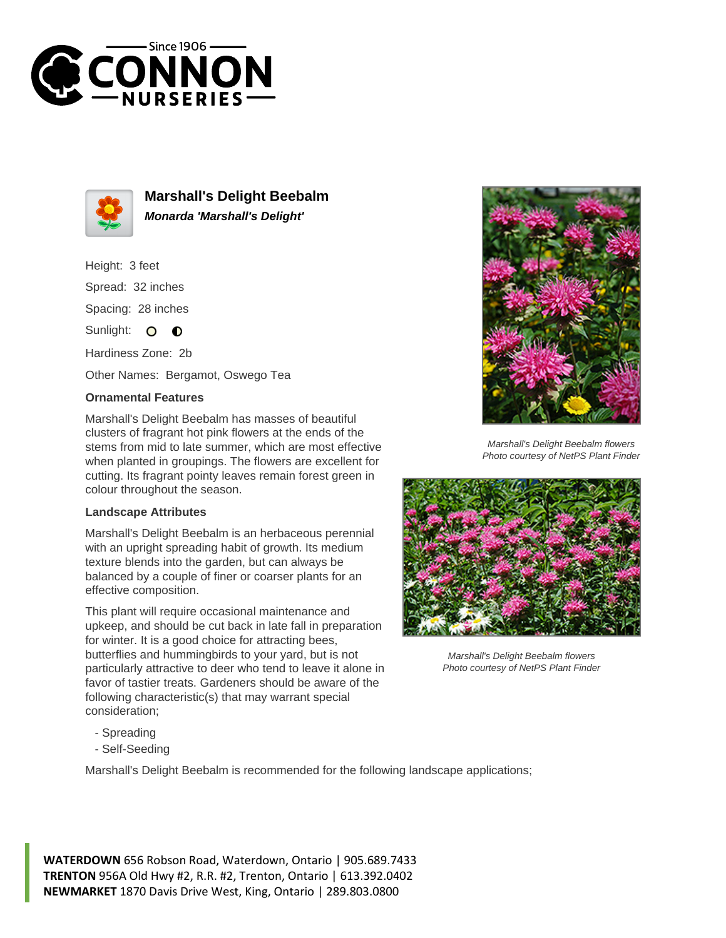



**Marshall's Delight Beebalm Monarda 'Marshall's Delight'**

Height: 3 feet Spread: 32 inches Spacing: 28 inches Sunlight: O  $\bullet$ Hardiness Zone: 2b

Other Names: Bergamot, Oswego Tea

## **Ornamental Features**

Marshall's Delight Beebalm has masses of beautiful clusters of fragrant hot pink flowers at the ends of the stems from mid to late summer, which are most effective when planted in groupings. The flowers are excellent for cutting. Its fragrant pointy leaves remain forest green in colour throughout the season.

## **Landscape Attributes**

Marshall's Delight Beebalm is an herbaceous perennial with an upright spreading habit of growth. Its medium texture blends into the garden, but can always be balanced by a couple of finer or coarser plants for an effective composition.

This plant will require occasional maintenance and upkeep, and should be cut back in late fall in preparation for winter. It is a good choice for attracting bees, butterflies and hummingbirds to your yard, but is not particularly attractive to deer who tend to leave it alone in favor of tastier treats. Gardeners should be aware of the following characteristic(s) that may warrant special consideration;



Marshall's Delight Beebalm flowers Photo courtesy of NetPS Plant Finder



Marshall's Delight Beebalm flowers Photo courtesy of NetPS Plant Finder

- Spreading
- Self-Seeding

Marshall's Delight Beebalm is recommended for the following landscape applications;

**WATERDOWN** 656 Robson Road, Waterdown, Ontario | 905.689.7433 **TRENTON** 956A Old Hwy #2, R.R. #2, Trenton, Ontario | 613.392.0402 **NEWMARKET** 1870 Davis Drive West, King, Ontario | 289.803.0800